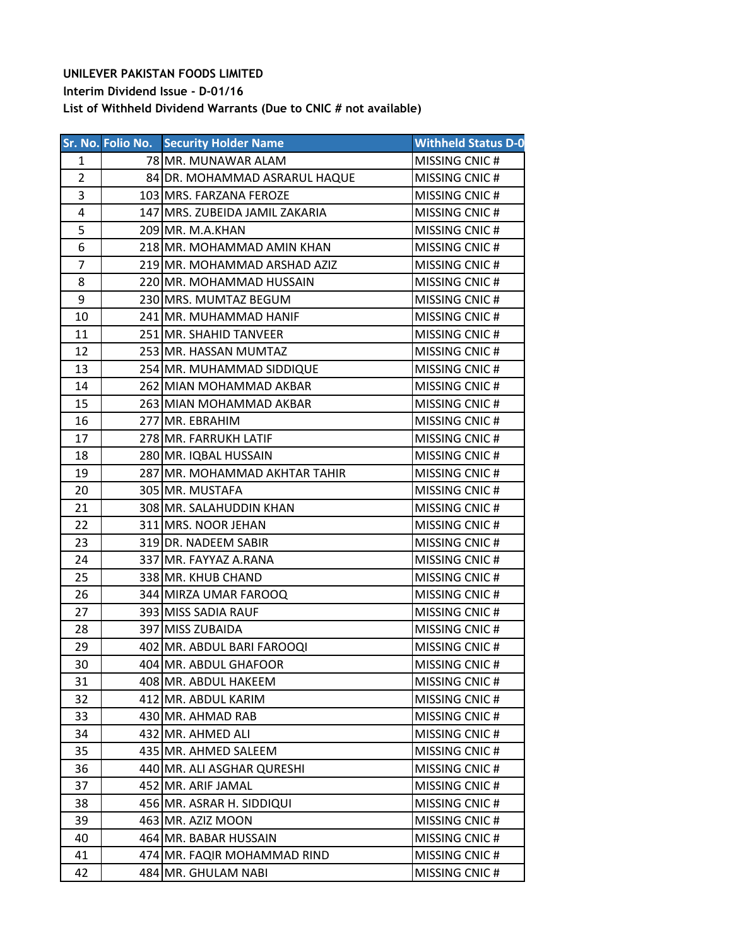## **UNILEVER PAKISTAN FOODS LIMITED lnterim Dividend Issue - D-01/16 List of Withheld Dividend Warrants (Due to CNIC # not available)**

|                | Sr. No. Folio No. Security Holder Name | <b>Withheld Status D-0</b> |
|----------------|----------------------------------------|----------------------------|
| 1              | 78 MR. MUNAWAR ALAM                    | MISSING CNIC#              |
| $\overline{2}$ | 84 DR. MOHAMMAD ASRARUL HAQUE          | MISSING CNIC#              |
| 3              | 103 MRS. FARZANA FEROZE                | MISSING CNIC#              |
| 4              | 147 MRS. ZUBEIDA JAMIL ZAKARIA         | MISSING CNIC#              |
| 5              | 209 MR. M.A.KHAN                       | MISSING CNIC#              |
| 6              | 218 MR. MOHAMMAD AMIN KHAN             | MISSING CNIC#              |
| 7              | 219 MR. MOHAMMAD ARSHAD AZIZ           | MISSING CNIC #             |
| 8              | 220 MR. MOHAMMAD HUSSAIN               | MISSING CNIC #             |
| 9              | 230 MRS. MUMTAZ BEGUM                  | MISSING CNIC#              |
| 10             | 241 MR. MUHAMMAD HANIF                 | MISSING CNIC#              |
| 11             | 251 MR. SHAHID TANVEER                 | MISSING CNIC#              |
| 12             | 253 MR. HASSAN MUMTAZ                  | MISSING CNIC#              |
| 13             | 254 MR. MUHAMMAD SIDDIQUE              | MISSING CNIC #             |
| 14             | 262 MIAN MOHAMMAD AKBAR                | MISSING CNIC#              |
| 15             | 263 MIAN MOHAMMAD AKBAR                | MISSING CNIC#              |
| 16             | 277 MR. EBRAHIM                        | MISSING CNIC#              |
| 17             | 278 MR. FARRUKH LATIF                  | MISSING CNIC#              |
| 18             | 280 MR. IQBAL HUSSAIN                  | MISSING CNIC#              |
| 19             | 287 MR. MOHAMMAD AKHTAR TAHIR          | MISSING CNIC#              |
| 20             | 305 MR. MUSTAFA                        | MISSING CNIC#              |
| 21             | 308 MR. SALAHUDDIN KHAN                | MISSING CNIC#              |
| 22             | 311 MRS. NOOR JEHAN                    | MISSING CNIC#              |
| 23             | 319 DR. NADEEM SABIR                   | MISSING CNIC#              |
| 24             | 337 MR. FAYYAZ A.RANA                  | MISSING CNIC#              |
| 25             | 338 MR. KHUB CHAND                     | MISSING CNIC#              |
| 26             | 344 MIRZA UMAR FAROOQ                  | MISSING CNIC#              |
| 27             | 393 MISS SADIA RAUF                    | MISSING CNIC #             |
| 28             | 397 MISS ZUBAIDA                       | MISSING CNIC#              |
| 29             | 402 MR. ABDUL BARI FAROOQI             | MISSING CNIC#              |
| 30             | 404 MR. ABDUL GHAFOOR                  | MISSING CNIC#              |
| 31             | 408 MR. ABDUL HAKEEM                   | MISSING CNIC#              |
| 32             | 412 MR. ABDUL KARIM                    | MISSING CNIC#              |
| 33             | 430 MR. AHMAD RAB                      | MISSING CNIC#              |
| 34             | 432 MR. AHMED ALI                      | MISSING CNIC#              |
| 35             | 435 MR. AHMED SALEEM                   | MISSING CNIC#              |
| 36             | 440 MR. ALI ASGHAR QURESHI             | MISSING CNIC#              |
| 37             | 452 MR. ARIF JAMAL                     | MISSING CNIC#              |
| 38             | 456 MR. ASRAR H. SIDDIQUI              | MISSING CNIC#              |
| 39             | 463 MR. AZIZ MOON                      | MISSING CNIC#              |
| 40             | 464 MR. BABAR HUSSAIN                  | MISSING CNIC#              |
| 41             | 474 MR. FAQIR MOHAMMAD RIND            | MISSING CNIC #             |
| 42             | 484 MR. GHULAM NABI                    | MISSING CNIC#              |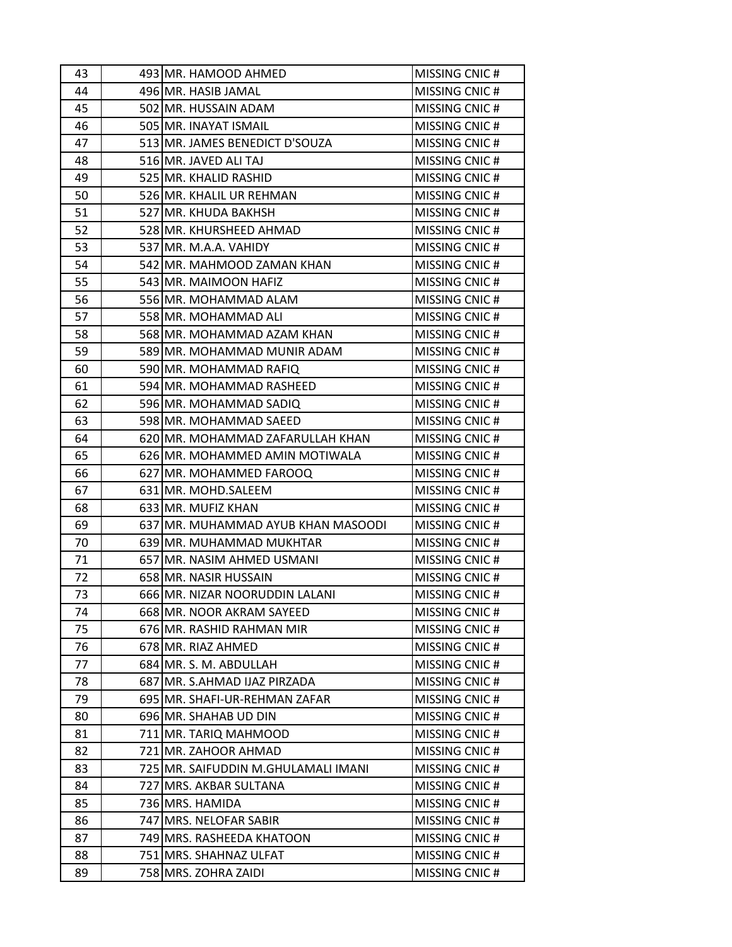| 43       | 493 MR. HAMOOD AHMED                | MISSING CNIC#                  |
|----------|-------------------------------------|--------------------------------|
| 44       | 496 MR. HASIB JAMAL                 | MISSING CNIC#                  |
| 45       | 502 MR. HUSSAIN ADAM                | MISSING CNIC#                  |
| 46       | 505 MR. INAYAT ISMAIL               | MISSING CNIC#                  |
| 47       | 513 MR. JAMES BENEDICT D'SOUZA      | MISSING CNIC#                  |
| 48       | 516 MR. JAVED ALI TAJ               | MISSING CNIC#                  |
| 49       | 525 MR. KHALID RASHID               | MISSING CNIC#                  |
| 50       | 526 MR. KHALIL UR REHMAN            | MISSING CNIC#                  |
| 51       | 527 MR. KHUDA BAKHSH                | MISSING CNIC#                  |
| 52       | 528 MR. KHURSHEED AHMAD             | MISSING CNIC#                  |
| 53       | 537 MR. M.A.A. VAHIDY               | MISSING CNIC#                  |
| 54       | 542 MR. MAHMOOD ZAMAN KHAN          | MISSING CNIC#                  |
| 55       | 543 MR. MAIMOON HAFIZ               | MISSING CNIC#                  |
| 56       | 556 MR. MOHAMMAD ALAM               | MISSING CNIC#                  |
| 57       | 558 MR. MOHAMMAD ALI                | MISSING CNIC#                  |
| 58       | 568 MR. MOHAMMAD AZAM KHAN          | MISSING CNIC#                  |
| 59       | 589 MR. MOHAMMAD MUNIR ADAM         | MISSING CNIC#                  |
| 60       | 590 MR. MOHAMMAD RAFIQ              | MISSING CNIC#                  |
| 61       | 594 MR. MOHAMMAD RASHEED            | MISSING CNIC#                  |
| 62       | 596 MR. MOHAMMAD SADIQ              | MISSING CNIC#                  |
| 63       | 598 MR. MOHAMMAD SAEED              | MISSING CNIC#                  |
| 64       | 620 MR. MOHAMMAD ZAFARULLAH KHAN    | MISSING CNIC#                  |
| 65       | 626 MR. MOHAMMED AMIN MOTIWALA      | MISSING CNIC#                  |
| 66       | 627 MR. MOHAMMED FAROOQ             | MISSING CNIC#                  |
| 67       | 631 MR. MOHD. SALEEM                | MISSING CNIC#                  |
| 68       | 633 MR. MUFIZ KHAN                  | MISSING CNIC#                  |
| 69       | 637 JMR. MUHAMMAD AYUB KHAN MASOODI | MISSING CNIC#                  |
| 70       | 639 MR. MUHAMMAD MUKHTAR            | MISSING CNIC#                  |
| 71       | 657 MR. NASIM AHMED USMANI          | MISSING CNIC#                  |
| 72       | 658 MR. NASIR HUSSAIN               | MISSING CNIC#                  |
| 73       | 666 MR. NIZAR NOORUDDIN LALANI      | MISSING CNIC#                  |
| 74       | 668 MR. NOOR AKRAM SAYEED           | MISSING CNIC#                  |
| 75       | 676 MR. RASHID RAHMAN MIR           | MISSING CNIC#                  |
| 76       | 678 MR. RIAZ AHMED                  | MISSING CNIC#                  |
| 77       | 684 MR. S. M. ABDULLAH              | MISSING CNIC#                  |
| 78       | 687 MR. S.AHMAD IJAZ PIRZADA        | MISSING CNIC#                  |
| 79       | 695 MR. SHAFI-UR-REHMAN ZAFAR       | MISSING CNIC#                  |
| 80       | 696 MR. SHAHAB UD DIN               | MISSING CNIC#                  |
| 81       | 711 MR. TARIQ MAHMOOD               | MISSING CNIC#                  |
| 82       | 721 MR. ZAHOOR AHMAD                | MISSING CNIC#                  |
| 83       | 725 MR. SAIFUDDIN M.GHULAMALI IMANI | MISSING CNIC#                  |
| 84<br>85 | 727 MRS. AKBAR SULTANA              | MISSING CNIC#<br>MISSING CNIC# |
|          | 736 MRS. HAMIDA                     |                                |
| 86       | 747 MRS. NELOFAR SABIR              | MISSING CNIC#                  |
| 87       | 749 MRS. RASHEEDA KHATOON           | MISSING CNIC#                  |
| 88       | 751 MRS. SHAHNAZ ULFAT              | MISSING CNIC#                  |
| 89       | 758 MRS. ZOHRA ZAIDI                | MISSING CNIC#                  |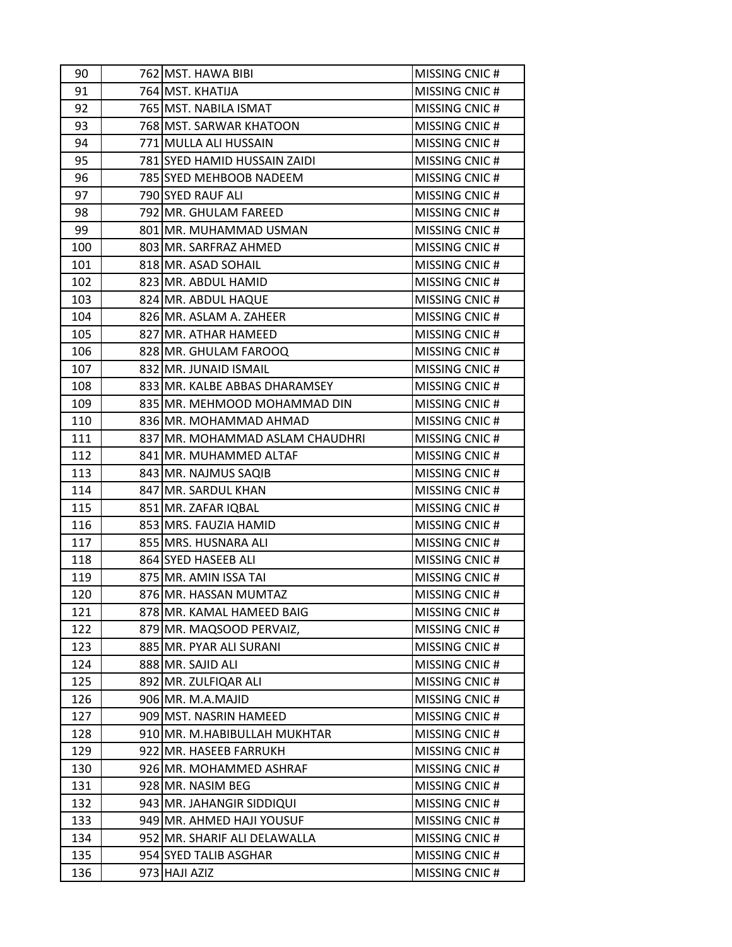| 90  | 762 MST. HAWA BIBI              | MISSING CNIC# |
|-----|---------------------------------|---------------|
| 91  | 764 MST. KHATIJA                | MISSING CNIC# |
| 92  | 765 MST. NABILA ISMAT           | MISSING CNIC# |
| 93  | 768 MST. SARWAR KHATOON         | MISSING CNIC# |
| 94  | 771 MULLA ALI HUSSAIN           | MISSING CNIC# |
| 95  | 781 SYED HAMID HUSSAIN ZAIDI    | MISSING CNIC# |
| 96  | 785 SYED MEHBOOB NADEEM         | MISSING CNIC# |
| 97  | 790 SYED RAUF ALI               | MISSING CNIC# |
| 98  | 792 MR. GHULAM FAREED           | MISSING CNIC# |
| 99  | 801 MR. MUHAMMAD USMAN          | MISSING CNIC# |
| 100 | 803 MR. SARFRAZ AHMED           | MISSING CNIC# |
| 101 | 818 MR. ASAD SOHAIL             | MISSING CNIC# |
| 102 | 823 MR. ABDUL HAMID             | MISSING CNIC# |
| 103 | 824 MR. ABDUL HAQUE             | MISSING CNIC# |
| 104 | 826 MR. ASLAM A. ZAHEER         | MISSING CNIC# |
| 105 | 827 MR. ATHAR HAMEED            | MISSING CNIC# |
| 106 | 828 MR. GHULAM FAROOQ           | MISSING CNIC# |
| 107 | 832 MR. JUNAID ISMAIL           | MISSING CNIC# |
| 108 | 833 MR. KALBE ABBAS DHARAMSEY   | MISSING CNIC# |
| 109 | 835 MR. MEHMOOD MOHAMMAD DIN    | MISSING CNIC# |
| 110 | 836 MR. MOHAMMAD AHMAD          | MISSING CNIC# |
| 111 | 837 MR. MOHAMMAD ASLAM CHAUDHRI | MISSING CNIC# |
| 112 | 841 MR. MUHAMMED ALTAF          | MISSING CNIC# |
| 113 | 843 MR. NAJMUS SAQIB            | MISSING CNIC# |
| 114 | 847 MR. SARDUL KHAN             | MISSING CNIC# |
| 115 | 851 MR. ZAFAR IQBAL             | MISSING CNIC# |
| 116 | 853 MRS. FAUZIA HAMID           | MISSING CNIC# |
| 117 | 855 MRS. HUSNARA ALI            | MISSING CNIC# |
| 118 | 864 SYED HASEEB ALI             | MISSING CNIC# |
| 119 | 875 MR. AMIN ISSA TAI           | MISSING CNIC# |
| 120 | 876 MR. HASSAN MUMTAZ           | MISSING CNIC# |
| 121 | 878 MR. KAMAL HAMEED BAIG       | MISSING CNIC# |
| 122 | 879 MR. MAQSOOD PERVAIZ,        | MISSING CNIC# |
| 123 | 885 MR. PYAR ALI SURANI         | MISSING CNIC# |
| 124 | 888 MR. SAJID ALI               | MISSING CNIC# |
| 125 | 892 MR. ZULFIQAR ALI            | MISSING CNIC# |
| 126 | 906 MR. M.A.MAJID               | MISSING CNIC# |
| 127 | 909 MST. NASRIN HAMEED          | MISSING CNIC# |
| 128 | 910 MR. M.HABIBULLAH MUKHTAR    | MISSING CNIC# |
| 129 | 922 MR. HASEEB FARRUKH          | MISSING CNIC# |
| 130 | 926 MR. MOHAMMED ASHRAF         | MISSING CNIC# |
| 131 | 928 MR. NASIM BEG               | MISSING CNIC# |
| 132 | 943 MR. JAHANGIR SIDDIQUI       | MISSING CNIC# |
| 133 | 949 MR. AHMED HAJI YOUSUF       | MISSING CNIC# |
| 134 | 952 MR. SHARIF ALI DELAWALLA    | MISSING CNIC# |
| 135 | 954 SYED TALIB ASGHAR           | MISSING CNIC# |
| 136 | 973 HAJI AZIZ                   | MISSING CNIC# |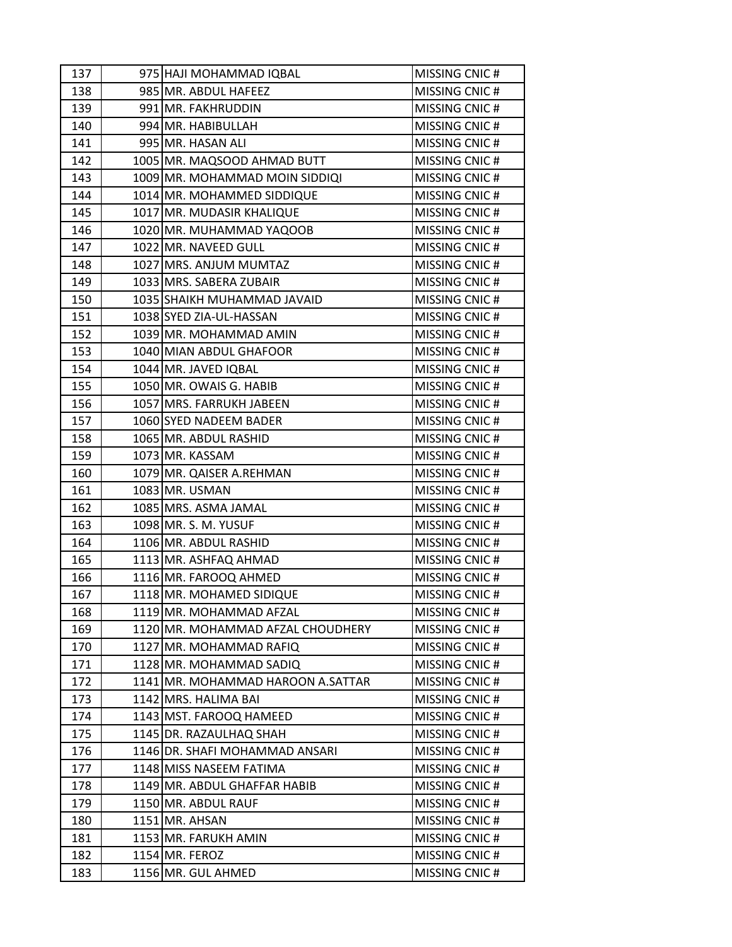| 137 | 975 HAJI MOHAMMAD IQBAL           | MISSING CNIC# |
|-----|-----------------------------------|---------------|
| 138 | 985 MR. ABDUL HAFEEZ              | MISSING CNIC# |
| 139 | 991 MR. FAKHRUDDIN                | MISSING CNIC# |
| 140 | 994 MR. HABIBULLAH                | MISSING CNIC# |
| 141 | 995 MR. HASAN ALI                 | MISSING CNIC# |
| 142 | 1005 MR. MAQSOOD AHMAD BUTT       | MISSING CNIC# |
| 143 | 1009 MR. MOHAMMAD MOIN SIDDIQI    | MISSING CNIC# |
| 144 | 1014 MR. MOHAMMED SIDDIQUE        | MISSING CNIC# |
| 145 | 1017 MR. MUDASIR KHALIQUE         | MISSING CNIC# |
| 146 | 1020 MR. MUHAMMAD YAQOOB          | MISSING CNIC# |
| 147 | 1022 MR. NAVEED GULL              | MISSING CNIC# |
| 148 | 1027 MRS. ANJUM MUMTAZ            | MISSING CNIC# |
| 149 | 1033 MRS. SABERA ZUBAIR           | MISSING CNIC# |
| 150 | 1035 SHAIKH MUHAMMAD JAVAID       | MISSING CNIC# |
| 151 | 1038 SYED ZIA-UL-HASSAN           | MISSING CNIC# |
| 152 | 1039 MR. MOHAMMAD AMIN            | MISSING CNIC# |
| 153 | 1040 MIAN ABDUL GHAFOOR           | MISSING CNIC# |
| 154 | 1044 MR. JAVED IQBAL              | MISSING CNIC# |
| 155 | 1050 MR. OWAIS G. HABIB           | MISSING CNIC# |
| 156 | 1057 MRS. FARRUKH JABEEN          | MISSING CNIC# |
| 157 | 1060 SYED NADEEM BADER            | MISSING CNIC# |
| 158 | 1065 MR. ABDUL RASHID             | MISSING CNIC# |
| 159 | 1073 MR. KASSAM                   | MISSING CNIC# |
| 160 | 1079 MR. QAISER A.REHMAN          | MISSING CNIC# |
| 161 | 1083 MR. USMAN                    | MISSING CNIC# |
| 162 | 1085 MRS. ASMA JAMAL              | MISSING CNIC# |
| 163 | 1098 MR. S. M. YUSUF              | MISSING CNIC# |
| 164 | 1106 MR. ABDUL RASHID             | MISSING CNIC# |
| 165 | 1113 MR. ASHFAQ AHMAD             | MISSING CNIC# |
| 166 | 1116 MR. FAROOQ AHMED             | MISSING CNIC# |
| 167 | 1118 MR. MOHAMED SIDIQUE          | MISSING CNIC# |
| 168 | 1119 MR. MOHAMMAD AFZAL           | MISSING CNIC# |
| 169 | 1120 MR. MOHAMMAD AFZAL CHOUDHERY | MISSING CNIC# |
| 170 | 1127 MR. MOHAMMAD RAFIQ           | MISSING CNIC# |
| 171 | 1128 MR. MOHAMMAD SADIQ           | MISSING CNIC# |
| 172 | 1141 MR. MOHAMMAD HAROON A.SATTAR | MISSING CNIC# |
| 173 | 1142 MRS. HALIMA BAI              | MISSING CNIC# |
| 174 | 1143 MST. FAROOQ HAMEED           | MISSING CNIC# |
| 175 | 1145 DR. RAZAULHAQ SHAH           | MISSING CNIC# |
| 176 | 1146 DR. SHAFI MOHAMMAD ANSARI    | MISSING CNIC# |
| 177 | 1148 MISS NASEEM FATIMA           | MISSING CNIC# |
| 178 | 1149 MR. ABDUL GHAFFAR HABIB      | MISSING CNIC# |
| 179 | 1150 MR. ABDUL RAUF               | MISSING CNIC# |
| 180 | 1151 MR. AHSAN                    | MISSING CNIC# |
| 181 | 1153 MR. FARUKH AMIN              | MISSING CNIC# |
| 182 | 1154 MR. FEROZ                    | MISSING CNIC# |
| 183 | 1156 MR. GUL AHMED                | MISSING CNIC# |